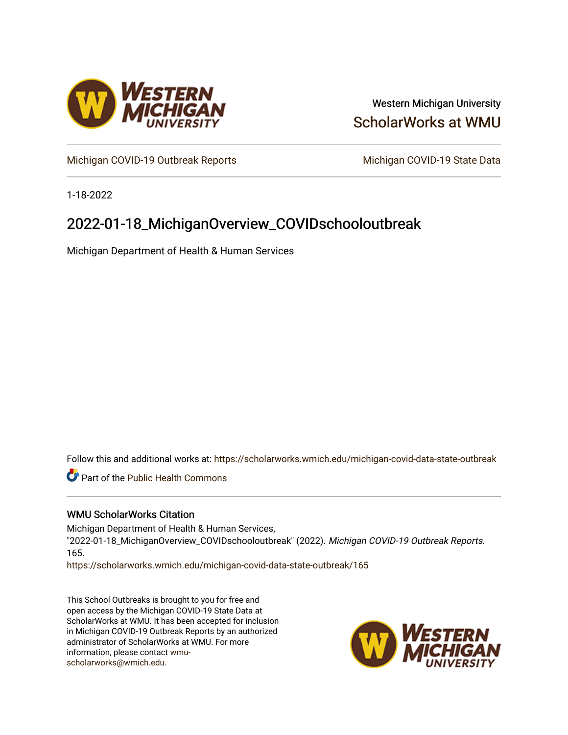

### Western Michigan University [ScholarWorks at WMU](https://scholarworks.wmich.edu/)

[Michigan COVID-19 Outbreak Reports](https://scholarworks.wmich.edu/michigan-covid-data-state-outbreak) Michigan COVID-19 State Data

1-18-2022

## 2022-01-18\_MichiganOverview\_COVIDschooloutbreak

Michigan Department of Health & Human Services

Follow this and additional works at: [https://scholarworks.wmich.edu/michigan-covid-data-state-outbreak](https://scholarworks.wmich.edu/michigan-covid-data-state-outbreak?utm_source=scholarworks.wmich.edu%2Fmichigan-covid-data-state-outbreak%2F165&utm_medium=PDF&utm_campaign=PDFCoverPages)

**Part of the Public Health Commons** 

#### WMU ScholarWorks Citation

Michigan Department of Health & Human Services, "2022-01-18\_MichiganOverview\_COVIDschooloutbreak" (2022). Michigan COVID-19 Outbreak Reports. 165.

[https://scholarworks.wmich.edu/michigan-covid-data-state-outbreak/165](https://scholarworks.wmich.edu/michigan-covid-data-state-outbreak/165?utm_source=scholarworks.wmich.edu%2Fmichigan-covid-data-state-outbreak%2F165&utm_medium=PDF&utm_campaign=PDFCoverPages) 

This School Outbreaks is brought to you for free and open access by the Michigan COVID-19 State Data at ScholarWorks at WMU. It has been accepted for inclusion in Michigan COVID-19 Outbreak Reports by an authorized administrator of ScholarWorks at WMU. For more information, please contact [wmu](mailto:wmu-scholarworks@wmich.edu)[scholarworks@wmich.edu.](mailto:wmu-scholarworks@wmich.edu)

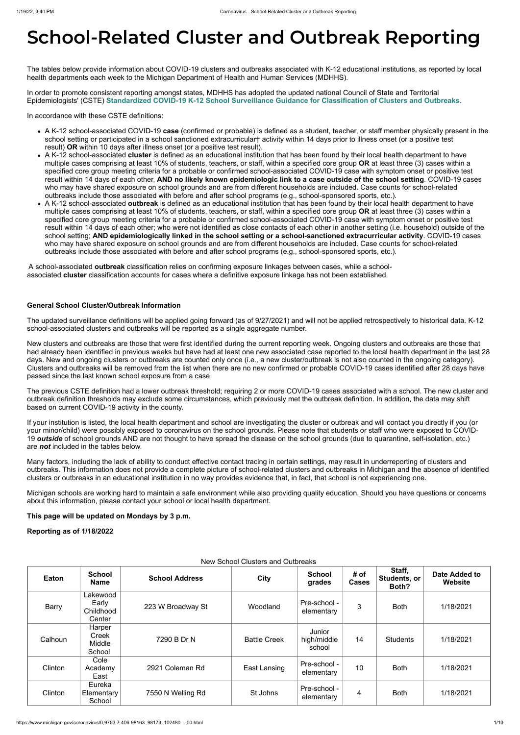# **School-Related Cluster and Outbreak Reporting**

The tables below provide information about COVID-19 clusters and outbreaks associated with K-12 educational institutions, as reported by local health departments each week to the Michigan Department of Health and Human Services (MDHHS).

In order to promote consistent reporting amongst states, MDHHS has adopted the updated national Council of State and Territorial Epidemiologists' (CSTE) **[Standardized COVID-19 K-12 School Surveillance Guidance for Classification of Clusters and Outbreaks](https://preparedness.cste.org/wp-content/uploads/2021/08/CSTE-Standardized-COVID-19-K-12-School-Surveillance-Guidance-for-Classification-of-Clusters-and-Outbreaks.pdf)**.

In accordance with these CSTE definitions:

- A K-12 school-associated COVID-19 **case** (confirmed or probable) is defined as a student, teacher, or staff member physically present in the school setting or participated in a school sanctioned extracurricular† activity within 14 days prior to illness onset (or a positive test result) **OR** within 10 days after illness onset (or a positive test result).
- A K-12 school-associated **cluster** is defined as an educational institution that has been found by their local health department to have multiple cases comprising at least 10% of students, teachers, or staff, within a specified core group **OR** at least three (3) cases within a specified core group meeting criteria for a probable or confirmed school-associated COVID-19 case with symptom onset or positive test result within 14 days of each other, **AND no likely known epidemiologic link to a case outside of the school setting**. COVID-19 cases who may have shared exposure on school grounds and are from different households are included. Case counts for school-related outbreaks include those associated with before and after school programs (e.g., school-sponsored sports, etc.).
- A K-12 school-associated **outbreak** is defined as an educational institution that has been found by their local health department to have multiple cases comprising at least 10% of students, teachers, or staff, within a specified core group **OR** at least three (3) cases within a specified core group meeting criteria for a probable or confirmed school-associated COVID-19 case with symptom onset or positive test result within 14 days of each other; who were not identified as close contacts of each other in another setting (i.e. household) outside of the school setting; **AND epidemiologically linked in the school setting or a school-sanctioned extracurricular activity**. COVID-19 cases who may have shared exposure on school grounds and are from different households are included. Case counts for school-related outbreaks include those associated with before and after school programs (e.g., school-sponsored sports, etc.).

A school-associated **outbreak** classification relies on confirming exposure linkages between cases, while a schoolassociated **cluster** classification accounts for cases where a definitive exposure linkage has not been established.

#### **General School Cluster/Outbreak Information**

The updated surveillance definitions will be applied going forward (as of 9/27/2021) and will not be applied retrospectively to historical data. K-12 school-associated clusters and outbreaks will be reported as a single aggregate number.

New clusters and outbreaks are those that were first identified during the current reporting week. Ongoing clusters and outbreaks are those that had already been identified in previous weeks but have had at least one new associated case reported to the local health department in the last 28 days. New and ongoing clusters or outbreaks are counted only once (i.e., a new cluster/outbreak is not also counted in the ongoing category). Clusters and outbreaks will be removed from the list when there are no new confirmed or probable COVID-19 cases identified after 28 days have passed since the last known school exposure from a case.

The previous CSTE definition had a lower outbreak threshold; requiring 2 or more COVID-19 cases associated with a school. The new cluster and outbreak definition thresholds may exclude some circumstances, which previously met the outbreak definition. In addition, the data may shift based on current COVID-19 activity in the county.

If your institution is listed, the local health department and school are investigating the cluster or outbreak and will contact you directly if you (or your minor/child) were possibly exposed to coronavirus on the school grounds. Please note that students or staff who were exposed to COVID-19 *outside* of school grounds AND are not thought to have spread the disease on the school grounds (due to quarantine, self-isolation, etc.) are *not* included in the tables below.

Many factors, including the lack of ability to conduct effective contact tracing in certain settings, may result in underreporting of clusters and outbreaks. This information does not provide a complete picture of school-related clusters and outbreaks in Michigan and the absence of identified clusters or outbreaks in an educational institution in no way provides evidence that, in fact, that school is not experiencing one.

Michigan schools are working hard to maintain a safe environment while also providing quality education. Should you have questions or concerns about this information, please contact your school or local health department.

**This page will be updated on Mondays by 3 p.m.**

**Reporting as of 1/18/2022**

New School Clusters and Outbreaks

| Eaton   | <b>School</b><br><b>Name</b>               | <b>School Address</b> | <b>City</b>         | <b>School</b><br>grades         | # of<br><b>Cases</b> | Staff,<br>Students, or<br>Both? | Date Added to<br>Website |
|---------|--------------------------------------------|-----------------------|---------------------|---------------------------------|----------------------|---------------------------------|--------------------------|
| Barry   | Lakewood<br>Early<br>Childhood<br>Center   | 223 W Broadway St     | Woodland            | Pre-school -<br>elementary      | 3                    | <b>Both</b>                     | 1/18/2021                |
| Calhoun | Harper<br>Creek<br><b>Middle</b><br>School | 7290 B Dr N           | <b>Battle Creek</b> | Junior<br>high/middle<br>school | 14                   | <b>Students</b>                 | 1/18/2021                |
| Clinton | Cole<br>Academy<br>East                    | 2921 Coleman Rd       | East Lansing        | Pre-school -<br>elementary      | 10                   | <b>Both</b>                     | 1/18/2021                |
| Clinton | Eureka<br>Elementary<br>School             | 7550 N Welling Rd     | St Johns            | Pre-school -<br>elementary      | 4                    | <b>Both</b>                     | 1/18/2021                |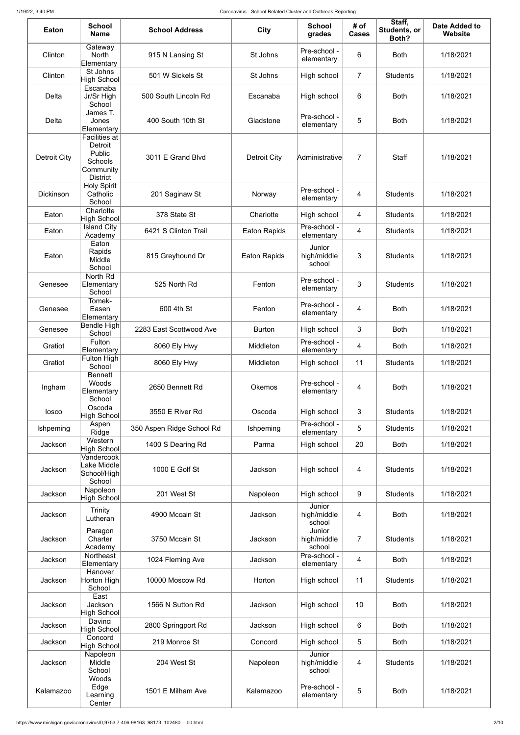| <b>Eaton</b>        | <b>School</b><br><b>Name</b>                                                         | <b>School Address</b>     | <b>City</b>         | <b>School</b><br>grades         | # of<br><b>Cases</b> | Staff,<br>Students, or<br>Both? | <b>Date Added to</b><br><b>Website</b> |
|---------------------|--------------------------------------------------------------------------------------|---------------------------|---------------------|---------------------------------|----------------------|---------------------------------|----------------------------------------|
| Clinton             | Gateway<br><b>North</b><br>Elementary                                                | 915 N Lansing St          | St Johns            | Pre-school -<br>elementary      | 6                    | <b>Both</b>                     | 1/18/2021                              |
| Clinton             | St Johns<br><b>High School</b>                                                       | 501 W Sickels St          | St Johns            | High school                     | $\overline{7}$       | <b>Students</b>                 | 1/18/2021                              |
| Delta               | Escanaba<br>Jr/Sr High<br>School                                                     | 500 South Lincoln Rd      | Escanaba            | High school                     | 6                    | <b>Both</b>                     | 1/18/2021                              |
| Delta               | James T.<br>Jones<br>Elementary                                                      | 400 South 10th St         | Gladstone           | Pre-school -<br>elementary      | 5                    | <b>Both</b>                     | 1/18/2021                              |
| <b>Detroit City</b> | <b>Facilities at</b><br>Detroit<br>Public<br>Schools<br>Community<br><b>District</b> | 3011 E Grand Blvd         | <b>Detroit City</b> | Administrative                  | 7                    | <b>Staff</b>                    | 1/18/2021                              |
| <b>Dickinson</b>    | <b>Holy Spirit</b><br>Catholic<br>School                                             | 201 Saginaw St            | Norway              | Pre-school -<br>elementary      | 4                    | <b>Students</b>                 | 1/18/2021                              |
| Eaton               | Charlotte<br><b>High School</b>                                                      | 378 State St              | Charlotte           | High school                     | 4                    | <b>Students</b>                 | 1/18/2021                              |
| Eaton               | <b>Island City</b><br>Academy                                                        | 6421 S Clinton Trail      | <b>Eaton Rapids</b> | Pre-school -<br>elementary      | 4                    | <b>Students</b>                 | 1/18/2021                              |
| Eaton               | Eaton<br>Rapids<br>Middle<br>School                                                  | 815 Greyhound Dr          | <b>Eaton Rapids</b> | Junior<br>high/middle<br>school | 3                    | <b>Students</b>                 | 1/18/2021                              |
| Genesee             | North Rd<br>Elementary<br>School                                                     | 525 North Rd              | Fenton              | Pre-school -<br>elementary      | 3                    | <b>Students</b>                 | 1/18/2021                              |
| Genesee             | Tomek-<br>Easen<br>Elementary                                                        | 600 4th St                | Fenton              | Pre-school -<br>elementary      | 4                    | <b>Both</b>                     | 1/18/2021                              |
| Genesee             | <b>Bendle High</b><br>School                                                         | 2283 East Scottwood Ave   | <b>Burton</b>       | High school                     | 3                    | <b>Both</b>                     | 1/18/2021                              |
| Gratiot             | Fulton<br>Elementary                                                                 | 8060 Ely Hwy              | Middleton           | Pre-school -<br>elementary      | 4                    | <b>Both</b>                     | 1/18/2021                              |
| Gratiot             | Fulton High<br>School                                                                | 8060 Ely Hwy              | Middleton           | High school                     | 11                   | <b>Students</b>                 | 1/18/2021                              |
| Ingham              | <b>Bennett</b><br>Woods<br>Elementary<br>School                                      | 2650 Bennett Rd           | <b>Okemos</b>       | Pre-school -<br>elementary      | 4                    | <b>Both</b>                     | 1/18/2021                              |
| losco               | Oscoda<br>High School                                                                | 3550 E River Rd           | Oscoda              | High school                     | 3                    | <b>Students</b>                 | 1/18/2021                              |
| Ishpeming           | Aspen<br>Ridge                                                                       | 350 Aspen Ridge School Rd | Ishpeming           | Pre-school -<br>elementary      | 5                    | <b>Students</b>                 | 1/18/2021                              |
| Jackson             | Western<br><b>High School</b>                                                        | 1400 S Dearing Rd         | Parma               | High school                     | 20                   | <b>Both</b>                     | 1/18/2021                              |
| Jackson             | Vandercook<br>Lake Middle<br>School/High<br>School                                   | 1000 E Golf St            | Jackson             | High school                     | $\overline{4}$       | <b>Students</b>                 | 1/18/2021                              |
| Jackson             | Napoleon<br><b>High School</b>                                                       | 201 West St               | Napoleon            | High school                     | $9\,$                | <b>Students</b>                 | 1/18/2021                              |
| Jackson             | Trinity<br>Lutheran                                                                  | 4900 Mccain St            | Jackson             | Junior<br>high/middle<br>school | 4                    | <b>Both</b>                     | 1/18/2021                              |
| Jackson             | Paragon<br>Charter<br>Academy                                                        | 3750 Mccain St            | Jackson             | Junior<br>high/middle<br>school | $\overline{7}$       | <b>Students</b>                 | 1/18/2021                              |
| Jackson             | Northeast<br>Elementary                                                              | 1024 Fleming Ave          | Jackson             | Pre-school -<br>elementary      | 4                    | <b>Both</b>                     | 1/18/2021                              |
| Jackson             | Hanover<br>Horton High<br>School                                                     | 10000 Moscow Rd           | Horton              | High school                     | 11                   | <b>Students</b>                 | 1/18/2021                              |
| Jackson             | East<br>Jackson<br><b>High School</b>                                                | 1566 N Sutton Rd          | Jackson             | High school                     | 10                   | <b>Both</b>                     | 1/18/2021                              |
| Jackson             | Davinci<br><b>High School</b>                                                        | 2800 Springport Rd        | Jackson             | High school                     | 6                    | <b>Both</b>                     | 1/18/2021                              |
| Jackson             | Concord<br><b>High School</b>                                                        | 219 Monroe St             | Concord             | High school                     | 5                    | <b>Both</b>                     | 1/18/2021                              |
| Jackson             | Napoleon<br>Middle<br>School                                                         | 204 West St               | Napoleon            | Junior<br>high/middle<br>school | 4                    | <b>Students</b>                 | 1/18/2021                              |
| Kalamazoo           | Woods<br>Edge<br>Learning<br>Center                                                  | 1501 E Milham Ave         | Kalamazoo           | Pre-school -<br>elementary      | 5                    | <b>Both</b>                     | 1/18/2021                              |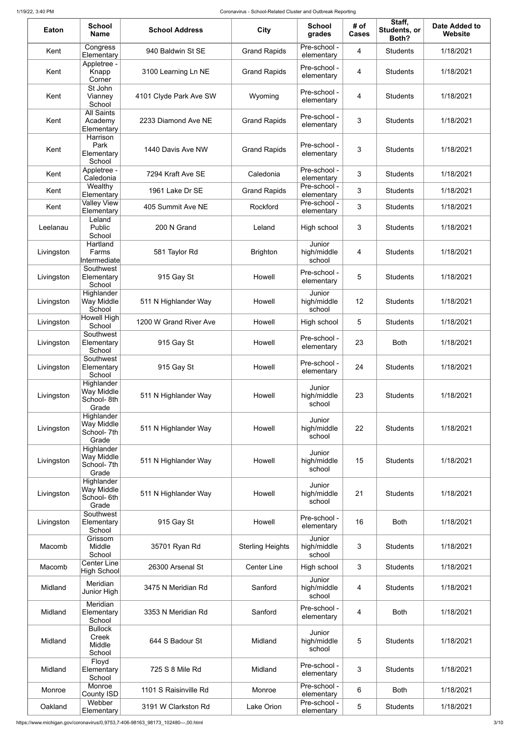| <b>Eaton</b> | <b>School</b><br><b>Name</b>                     | <b>School Address</b>  | <b>City</b>             | <b>School</b><br>grades         | # of<br><b>Cases</b> | Staff,<br>Students, or<br>Both? | <b>Date Added to</b><br><b>Website</b> |
|--------------|--------------------------------------------------|------------------------|-------------------------|---------------------------------|----------------------|---------------------------------|----------------------------------------|
| Kent         | Congress<br>Elementary                           | 940 Baldwin St SE      | <b>Grand Rapids</b>     | Pre-school -<br>elementary      | 4                    | <b>Students</b>                 | 1/18/2021                              |
| Kent         | Appletree -<br>Knapp<br>Corner                   | 3100 Learning Ln NE    | <b>Grand Rapids</b>     | Pre-school -<br>elementary      | 4                    | <b>Students</b>                 | 1/18/2021                              |
| Kent         | St John<br>Vianney<br>School                     | 4101 Clyde Park Ave SW | Wyoming                 | Pre-school -<br>elementary      | 4                    | <b>Students</b>                 | 1/18/2021                              |
| Kent         | <b>All Saints</b><br>Academy<br>Elementary       | 2233 Diamond Ave NE    | <b>Grand Rapids</b>     | Pre-school -<br>elementary      | 3                    | <b>Students</b>                 | 1/18/2021                              |
| Kent         | Harrison<br>Park<br>Elementary<br>School         | 1440 Davis Ave NW      | <b>Grand Rapids</b>     | Pre-school -<br>elementary      | 3                    | <b>Students</b>                 | 1/18/2021                              |
| Kent         | Appletree -<br>Caledonia                         | 7294 Kraft Ave SE      | Caledonia               | Pre-school -<br>elementary      | 3                    | <b>Students</b>                 | 1/18/2021                              |
| Kent         | Wealthy<br>Elementary                            | 1961 Lake Dr SE        | <b>Grand Rapids</b>     | Pre-school -<br>elementary      | 3                    | <b>Students</b>                 | 1/18/2021                              |
| Kent         | <b>Valley View</b><br>Elementary<br>Leland       | 405 Summit Ave NE      | Rockford                | Pre-school -<br>elementary      | 3                    | <b>Students</b>                 | 1/18/2021                              |
| Leelanau     | Public<br>School                                 | 200 N Grand            | Leland                  | High school                     | 3                    | <b>Students</b>                 | 1/18/2021                              |
| Livingston   | Hartland<br>Farms<br>Intermediate                | 581 Taylor Rd          | <b>Brighton</b>         | Junior<br>high/middle<br>school | 4                    | <b>Students</b>                 | 1/18/2021                              |
| Livingston   | Southwest<br>Elementary<br>School                | 915 Gay St             | Howell                  | Pre-school -<br>elementary      | 5                    | <b>Students</b>                 | 1/18/2021                              |
| Livingston   | Highlander<br>Way Middle<br>School               | 511 N Highlander Way   | Howell                  | Junior<br>high/middle<br>school | 12                   | <b>Students</b>                 | 1/18/2021                              |
| Livingston   | Howell High<br>School                            | 1200 W Grand River Ave | Howell                  | High school                     | 5                    | <b>Students</b>                 | 1/18/2021                              |
| Livingston   | Southwest<br>Elementary<br>School                | 915 Gay St             | Howell                  | Pre-school -<br>elementary      | 23                   | <b>Both</b>                     | 1/18/2021                              |
| Livingston   | Southwest<br>Elementary<br>School                | 915 Gay St             | Howell                  | Pre-school -<br>elementary      | 24                   | <b>Students</b>                 | 1/18/2021                              |
| Livingston   | Highlander<br>Way Middle<br>School-8th<br>Grade  | 511 N Highlander Way   | Howell                  | Junior<br>high/middle<br>school | 23                   | <b>Students</b>                 | 1/18/2021                              |
| Livingston   | Highlander<br>Way Middle<br>School- 7th<br>Grade | 511 N Highlander Way   | Howell                  | Junior<br>high/middle<br>school | 22                   | <b>Students</b>                 | 1/18/2021                              |
| Livingston   | Highlander<br>Way Middle<br>School- 7th<br>Grade | 511 N Highlander Way   | Howell                  | Junior<br>high/middle<br>school | 15                   | <b>Students</b>                 | 1/18/2021                              |
| Livingston   | Highlander<br>Way Middle<br>School-6th<br>Grade  | 511 N Highlander Way   | Howell                  | Junior<br>high/middle<br>school | 21                   | <b>Students</b>                 | 1/18/2021                              |
| Livingston   | Southwest<br>Elementary<br>School                | 915 Gay St             | Howell                  | Pre-school -<br>elementary      | 16                   | <b>Both</b>                     | 1/18/2021                              |
| Macomb       | Grissom<br>Middle<br>School                      | 35701 Ryan Rd          | <b>Sterling Heights</b> | Junior<br>high/middle<br>school | 3                    | <b>Students</b>                 | 1/18/2021                              |
| Macomb       | <b>Center Line</b><br>High School                | 26300 Arsenal St       | <b>Center Line</b>      | High school                     | 3                    | <b>Students</b>                 | 1/18/2021                              |
| Midland      | Meridian<br>Junior High                          | 3475 N Meridian Rd     | Sanford                 | Junior<br>high/middle<br>school | 4                    | <b>Students</b>                 | 1/18/2021                              |
| Midland      | Meridian<br>Elementary<br>School                 | 3353 N Meridian Rd     | Sanford                 | Pre-school -<br>elementary      | $\overline{4}$       | <b>Both</b>                     | 1/18/2021                              |
| Midland      | <b>Bullock</b><br>Creek<br>Middle<br>School      | 644 S Badour St        | Midland                 | Junior<br>high/middle<br>school | 5                    | <b>Students</b>                 | 1/18/2021                              |
| Midland      | Floyd<br>Elementary<br>School                    | 725 S 8 Mile Rd        | Midland                 | Pre-school -<br>elementary      | 3                    | <b>Students</b>                 | 1/18/2021                              |
| Monroe       | Monroe<br>County ISD                             | 1101 S Raisinville Rd  | Monroe                  | Pre-school -<br>elementary      | $6\phantom{1}6$      | <b>Both</b>                     | 1/18/2021                              |
| Oakland      | Webber<br>Elementary                             | 3191 W Clarkston Rd    | Lake Orion              | Pre-school -<br>elementary      | 5                    | <b>Students</b>                 | 1/18/2021                              |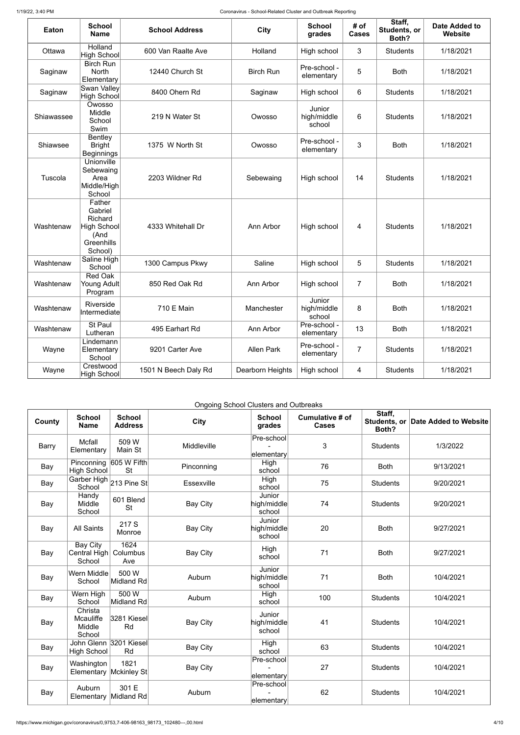| Eaton      | <b>School</b><br><b>Name</b>                                                        | <b>School Address</b> | <b>City</b>       | <b>School</b><br>grades         | # of<br><b>Cases</b> | Staff,<br>Students, or<br>Both? | <b>Date Added to</b><br><b>Website</b> |
|------------|-------------------------------------------------------------------------------------|-----------------------|-------------------|---------------------------------|----------------------|---------------------------------|----------------------------------------|
| Ottawa     | Holland<br>High School                                                              | 600 Van Raalte Ave    | Holland           | High school                     | 3                    | <b>Students</b>                 | 1/18/2021                              |
| Saginaw    | <b>Birch Run</b><br><b>North</b><br>Elementary                                      | 12440 Church St       | <b>Birch Run</b>  | Pre-school -<br>elementary      | 5                    | <b>Both</b>                     | 1/18/2021                              |
| Saginaw    | Swan Valley<br>High School                                                          | 8400 Ohern Rd         | Saginaw           | High school                     | 6                    | <b>Students</b>                 | 1/18/2021                              |
| Shiawassee | Owosso<br>Middle<br>School<br>Swim                                                  | 219 N Water St        | Owosso            | Junior<br>high/middle<br>school | 6                    | <b>Students</b>                 | 1/18/2021                              |
| Shiawsee   | <b>Bentley</b><br><b>Bright</b><br><b>Beginnings</b>                                | 1375 W North St       | Owosso            | Pre-school -<br>elementary      | 3                    | <b>Both</b>                     | 1/18/2021                              |
| Tuscola    | Unionville<br>Sebewaing<br>Area<br>Middle/High<br>School                            | 2203 Wildner Rd       | Sebewaing         | High school                     | 14                   | <b>Students</b>                 | 1/18/2021                              |
| Washtenaw  | Father<br>Gabriel<br>Richard<br><b>High School</b><br>(And<br>Greenhills<br>School) | 4333 Whitehall Dr     | Ann Arbor         | High school                     | $\overline{4}$       | <b>Students</b>                 | 1/18/2021                              |
| Washtenaw  | Saline High<br>School                                                               | 1300 Campus Pkwy      | Saline            | High school                     | 5                    | <b>Students</b>                 | 1/18/2021                              |
| Washtenaw  | <b>Red Oak</b><br><b>Young Adult</b><br>Program                                     | 850 Red Oak Rd        | Ann Arbor         | High school                     | $\overline{7}$       | <b>Both</b>                     | 1/18/2021                              |
| Washtenaw  | Riverside<br>Intermediate                                                           | 710 E Main            | Manchester        | Junior<br>high/middle<br>school | 8                    | <b>Both</b>                     | 1/18/2021                              |
| Washtenaw  | St Paul<br>Lutheran                                                                 | 495 Earhart Rd        | Ann Arbor         | Pre-school -<br>elementary      | 13                   | <b>Both</b>                     | 1/18/2021                              |
| Wayne      | Lindemann<br>Elementary<br>School                                                   | 9201 Carter Ave       | <b>Allen Park</b> | Pre-school -<br>elementary      | 7                    | <b>Students</b>                 | 1/18/2021                              |
| Wayne      | Crestwood<br>High School                                                            | 1501 N Beech Daly Rd  | Dearborn Heights  | High school                     | 4                    | <b>Students</b>                 | 1/18/2021                              |

Ongoing School Clusters and Outbreaks

| County       | <b>School</b><br><b>Name</b>                 | <b>School</b><br><b>Address</b> | <b>City</b>     | <b>School</b><br>grades                                 | Cumulative # of<br><b>Cases</b> | Staff,<br>Both? | Students, or Date Added to Website |
|--------------|----------------------------------------------|---------------------------------|-----------------|---------------------------------------------------------|---------------------------------|-----------------|------------------------------------|
| <b>Barry</b> | <b>Mcfall</b><br>Elementary                  | 509 W<br>Main St                | Middleville     | Pre-school<br>elementary                                | 3                               | <b>Students</b> | 1/3/2022                           |
| Bay          | Pinconning<br><b>High School</b>             | 605 W Fifth<br><b>St</b>        | Pinconning      | High<br>school                                          | 76                              | <b>Both</b>     | 9/13/2021                          |
| Bay          | Garber High 213 Pine St<br>School            |                                 | Essexville      | High<br>school                                          | 75                              | <b>Students</b> | 9/20/2021                          |
| Bay          | Handy<br>Middle<br>School                    | 601 Blend<br><b>St</b>          | <b>Bay City</b> | Junior<br>high/middle<br>school                         | 74                              | <b>Students</b> | 9/20/2021                          |
| Bay          | <b>All Saints</b>                            | 217 S<br>Monroe                 | <b>Bay City</b> | Junior<br>high/middle<br>school                         | 20                              | <b>Both</b>     | 9/27/2021                          |
| Bay          | Bay City<br>Central High<br>School           | 1624<br>Columbus<br>Ave         | <b>Bay City</b> | High<br>school                                          | 71                              | <b>Both</b>     | 9/27/2021                          |
| Bay          | Wern Middle<br>School                        | 500 W<br>Midland Rd             | Auburn          | Junior<br>$\left  \text{high/middle} \right $<br>school | 71                              | <b>Both</b>     | 10/4/2021                          |
| Bay          | Wern High<br>School                          | 500W<br>Midland Rd              | Auburn          | High<br>school                                          | 100                             | <b>Students</b> | 10/4/2021                          |
| Bay          | Christa<br>Mcauliffe<br>Middle<br>School     | 3281 Kiesel<br>Rd               | <b>Bay City</b> | Junior<br>high/middle<br>school                         | 41                              | <b>Students</b> | 10/4/2021                          |
| Bay          | John Glenn 3201 Kiesel<br><b>High School</b> | Rd                              | <b>Bay City</b> | High<br>school                                          | 63                              | <b>Students</b> | 10/4/2021                          |
| Bay          | Washington<br>Elementary                     | 1821<br>Mckinley St             | <b>Bay City</b> | Pre-school<br>elementary                                | 27                              | <b>Students</b> | 10/4/2021                          |
| Bay          | Auburn<br>Elementary Midland Rd              | 301 E                           | Auburn          | Pre-school<br>elementary                                | 62                              | <b>Students</b> | 10/4/2021                          |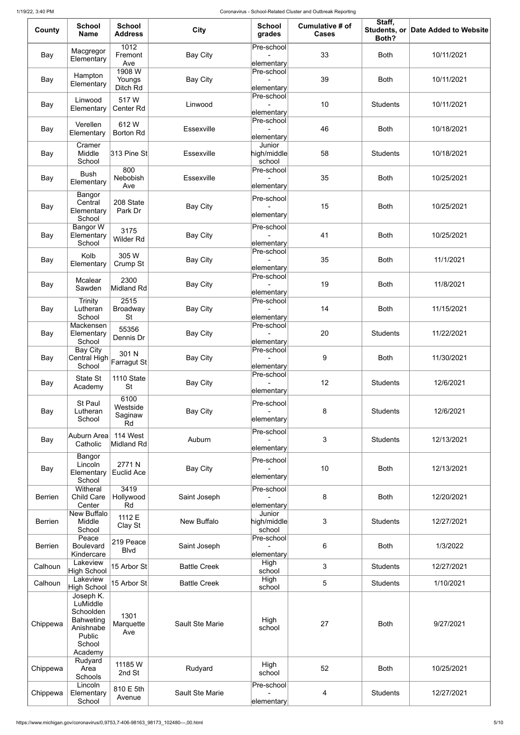| County         | <b>School</b><br><b>Name</b>                                              | <b>School</b><br><b>Address</b>      | <b>City</b>         | <b>School</b><br>grades                                   | Cumulative # of<br><b>Cases</b> | Staff,<br>Both? | Students, or Date Added to Website |
|----------------|---------------------------------------------------------------------------|--------------------------------------|---------------------|-----------------------------------------------------------|---------------------------------|-----------------|------------------------------------|
| Bay            | Macgregor<br>Elementary                                                   | $\overline{1012}$<br>Fremont<br>Ave  | <b>Bay City</b>     | Pre-school<br>elementary                                  | 33                              | <b>Both</b>     | 10/11/2021                         |
| Bay            | Hampton<br>Elementary                                                     | 1908 W<br>Youngs<br>Ditch Rd         | <b>Bay City</b>     | Pre-school<br>elementary                                  | 39                              | <b>Both</b>     | 10/11/2021                         |
| Bay            | Linwood<br>Elementary                                                     | 517W<br>Center Rd                    | Linwood             | Pre-school<br>elementary                                  | 10                              | <b>Students</b> | 10/11/2021                         |
| Bay            | Verellen<br>Elementary                                                    | 612W<br><b>Borton Rd</b>             | Essexville          | Pre-school<br>elementary                                  | 46                              | <b>Both</b>     | 10/18/2021                         |
| Bay            | Cramer<br>Middle<br>School                                                | $ 313$ Pine St                       | Essexville          | Junior<br>high/middle<br>school                           | 58                              | <b>Students</b> | 10/18/2021                         |
| Bay            | <b>Bush</b><br>Elementary                                                 | 800<br>Nebobish<br>Ave               | Essexville          | Pre-school<br>elementary                                  | 35                              | <b>Both</b>     | 10/25/2021                         |
| Bay            | Bangor<br>Central<br>Elementary<br>School                                 | 208 State<br>Park Dr                 | <b>Bay City</b>     | Pre-school<br>elementary                                  | 15                              | <b>Both</b>     | 10/25/2021                         |
| Bay            | Bangor W<br>Elementary<br>School                                          | 3175<br><b>Wilder Rd</b>             | <b>Bay City</b>     | Pre-school<br>elementary                                  | 41                              | <b>Both</b>     | 10/25/2021                         |
| Bay            | Kolb<br>Elementary                                                        | 305 W<br>Crump St                    | <b>Bay City</b>     | Pre-school<br>elementary                                  | 35                              | <b>Both</b>     | 11/1/2021                          |
| Bay            | Mcalear<br>Sawden                                                         | 2300<br>Midland Rd                   | <b>Bay City</b>     | Pre-school<br>elementary                                  | 19                              | <b>Both</b>     | 11/8/2021                          |
| Bay            | Trinity<br>Lutheran<br>School                                             | 2515<br><b>Broadway</b><br><b>St</b> | <b>Bay City</b>     | Pre-school<br>elementary                                  | 14                              | <b>Both</b>     | 11/15/2021                         |
| Bay            | Mackensen<br>Elementary<br>School                                         | 55356<br>Dennis Dr                   | <b>Bay City</b>     | Pre-school<br>elementary                                  | 20                              | <b>Students</b> | 11/22/2021                         |
| Bay            | <b>Bay City</b><br>Central High $\vert$ Farragut St<br>School             | 301 N                                | <b>Bay City</b>     | Pre-school<br>elementary                                  | 9                               | <b>Both</b>     | 11/30/2021                         |
| Bay            | State St<br>Academy                                                       | 1110 State<br><b>St</b>              | <b>Bay City</b>     | Pre-school<br>elementary                                  | 12                              | <b>Students</b> | 12/6/2021                          |
| Bay            | <b>St Paul</b><br>Lutheran<br>School                                      | 6100<br>Westside<br>Saginaw<br>Rd    | <b>Bay City</b>     | Pre-school<br>elementary                                  | 8                               | <b>Students</b> | 12/6/2021                          |
| Bay            | Auburn Area<br>Catholic                                                   | 114 West<br>Midland Rd               | Auburn              | Pre-school<br>elementary                                  | 3                               | <b>Students</b> | 12/13/2021                         |
| Bay            | Bangor<br>Lincoln<br>Elementary<br>School                                 | 2771N<br><b>Euclid Ace</b>           | <b>Bay City</b>     | Pre-school<br>elementary                                  | 10                              | <b>Both</b>     | 12/13/2021                         |
| <b>Berrien</b> | Witheral<br><b>Child Care</b><br>Center                                   | 3419<br>Hollywood<br>Rd              | Saint Joseph        | Pre-school<br>elementary                                  | 8                               | <b>Both</b>     | 12/20/2021                         |
| <b>Berrien</b> | New Buffalo<br>Middle<br>School                                           | 1112 E<br>Clay St                    | New Buffalo         | Junior<br>$\left  \mathrm{high/middle} \right $<br>school | 3                               | <b>Students</b> | 12/27/2021                         |
| <b>Berrien</b> | Peace<br><b>Boulevard</b><br>Kindercare                                   | 219 Peace<br><b>Blvd</b>             | Saint Joseph        | Pre-school<br>elementary                                  | 6                               | <b>Both</b>     | 1/3/2022                           |
| Calhoun        | Lakeview<br>High School                                                   | 15 Arbor St                          | <b>Battle Creek</b> | High<br>school                                            | 3                               | <b>Students</b> | 12/27/2021                         |
| Calhoun        | Lakeview<br><b>High School</b><br>Joseph K.<br>LuMiddle                   | 15 Arbor St                          | <b>Battle Creek</b> | High<br>school                                            | 5                               | <b>Students</b> | 1/10/2021                          |
| Chippewa       | Schoolden<br><b>Bahweting</b><br>Anishnabe<br>Public<br>School<br>Academy | 1301<br>Marquette<br>Ave             | Sault Ste Marie     | High<br>school                                            | 27                              | <b>Both</b>     | 9/27/2021                          |
| Chippewa       | Rudyard<br>Area<br>Schools                                                | 11185W<br>2nd St                     | Rudyard             | High<br>school                                            | 52                              | <b>Both</b>     | 10/25/2021                         |
| Chippewa       | Lincoln<br>Elementary<br>School                                           | 810 E 5th<br>Avenue                  | Sault Ste Marie     | Pre-school<br>elementary                                  | 4                               | <b>Students</b> | 12/27/2021                         |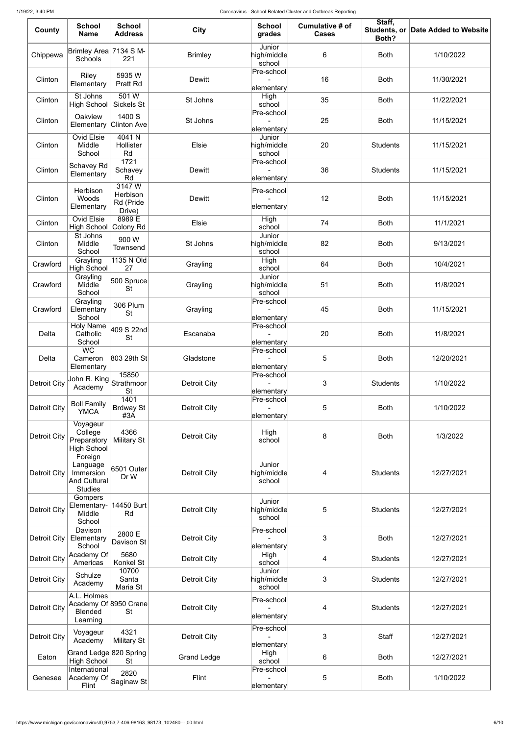| County              | <b>School</b><br><b>Name</b>                                                 | <b>School</b><br><b>Address</b>          | <b>City</b>         | <b>School</b><br>grades                                   | Cumulative # of<br><b>Cases</b> | Staff,<br>Students, or<br>Both? | Date Added to Website |
|---------------------|------------------------------------------------------------------------------|------------------------------------------|---------------------|-----------------------------------------------------------|---------------------------------|---------------------------------|-----------------------|
| Chippewa            | Brimley Area 7134 S M-<br><b>Schools</b>                                     | 221                                      | <b>Brimley</b>      | Junior<br>$\left  \mathrm{high/middle} \right $<br>school | 6                               | <b>Both</b>                     | 1/10/2022             |
| Clinton             | <b>Riley</b><br>Elementary                                                   | 5935W<br><b>Pratt Rd</b>                 | <b>Dewitt</b>       | Pre-school<br>elementary                                  | 16                              | <b>Both</b>                     | 11/30/2021            |
| Clinton             | St Johns<br>High School                                                      | 501W<br>Sickels St                       | St Johns            | High<br>school                                            | 35                              | <b>Both</b>                     | 11/22/2021            |
| Clinton             | Oakview<br>Elementary                                                        | 1400 S<br>Clinton Ave                    | St Johns            | Pre-school<br>elementary                                  | 25                              | <b>Both</b>                     | 11/15/2021            |
| Clinton             | <b>Ovid Elsie</b><br>Middle<br>School                                        | 4041N<br>Hollister<br>Rd                 | Elsie               | Junior<br>high/middle<br>school                           | 20                              | <b>Students</b>                 | 11/15/2021            |
| Clinton             | Schavey Rd<br>Elementary                                                     | 1721<br>Schavey<br>Rd                    | <b>Dewitt</b>       | Pre-school<br>elementary                                  | 36                              | <b>Students</b>                 | 11/15/2021            |
| Clinton             | Herbison<br>Woods<br>Elementary                                              | 3147W<br>Herbison<br>Rd (Pride<br>Drive) | <b>Dewitt</b>       | Pre-school<br>elementary                                  | 12                              | <b>Both</b>                     | 11/15/2021            |
| Clinton             | <b>Ovid Elsie</b><br><b>High School</b>                                      | 8989 E<br>Colony Rd                      | Elsie               | High<br>school                                            | 74                              | <b>Both</b>                     | 11/1/2021             |
| Clinton             | St Johns<br>Middle<br>School                                                 | 900 W<br>Townsend                        | St Johns            | Junior<br>high/middle<br>school                           | 82                              | <b>Both</b>                     | 9/13/2021             |
| Crawford            | Grayling<br><b>High School</b>                                               | 1135 N Old<br>27                         | Grayling            | High<br>school                                            | 64                              | <b>Both</b>                     | 10/4/2021             |
| Crawford            | Grayling<br>Middle<br>School                                                 | $ 500\>$ Spruce $ $<br><b>St</b>         | Grayling            | Junior<br>high/middle∣<br>school                          | 51                              | <b>Both</b>                     | 11/8/2021             |
| Crawford            | Grayling<br>Elementary<br>School                                             | <b>306 Plum</b><br><b>St</b>             | Grayling            | Pre-school<br>elementary                                  | 45                              | <b>Both</b>                     | 11/15/2021            |
| Delta               | <b>Holy Name</b><br>Catholic<br>School                                       | 409 S 22nd<br><b>St</b>                  | Escanaba            | Pre-school<br>elementary                                  | 20                              | <b>Both</b>                     | 11/8/2021             |
| Delta               | $\overline{WC}$<br>Cameron<br>Elementary                                     | 803 29th St                              | Gladstone           | Pre-school<br>elementary                                  | 5                               | <b>Both</b>                     | 12/20/2021            |
| <b>Detroit City</b> | <sub>i</sub> John R. King $\big _{\mathsf{Strathmoor}^{\dagger}}$<br>Academy | 15850<br><b>St</b>                       | <b>Detroit City</b> | Pre-school<br>elementary                                  | 3                               | <b>Students</b>                 | 1/10/2022             |
| <b>Detroit City</b> | <b>Boll Family</b><br><b>YMCA</b>                                            | 1401<br><b>Brdway St</b><br>#3A          | <b>Detroit City</b> | Pre-school<br>elementary                                  | 5                               | <b>Both</b>                     | 1/10/2022             |
| <b>Detroit City</b> | Voyageur<br>College<br>Preparatory<br><b>High School</b>                     | 4366<br><b>Military St</b>               | <b>Detroit City</b> | High<br>school                                            | 8                               | <b>Both</b>                     | 1/3/2022              |
| <b>Detroit City</b> | Foreign<br>Language<br>Immersion<br><b>And Cultural</b><br><b>Studies</b>    | 6501 Outer<br>Dr W                       | <b>Detroit City</b> | Junior<br>$\left  \text{high/middle} \right $<br>school   | 4                               | <b>Students</b>                 | 12/27/2021            |
| <b>Detroit City</b> | Gompers<br>Elementary-<br>Middle<br>School                                   | 14450 Burt<br>Rd                         | <b>Detroit City</b> | Junior<br>$\left  \text{high/middle} \right $<br>school   | 5                               | <b>Students</b>                 | 12/27/2021            |
| <b>Detroit City</b> | Davison<br>Elementary<br>School                                              | 2800 E<br>Davison St                     | <b>Detroit City</b> | Pre-school<br>elementary                                  | 3                               | <b>Both</b>                     | 12/27/2021            |
| <b>Detroit City</b> | Academy Of<br>Americas                                                       | 5680<br>Konkel St                        | <b>Detroit City</b> | High<br>school                                            | 4                               | <b>Students</b>                 | 12/27/2021            |
| <b>Detroit City</b> | Schulze<br>Academy                                                           | 10700<br>Santa<br>Maria St               | <b>Detroit City</b> | Junior<br>$\left  \text{high/middle} \right $<br>school   | 3                               | <b>Students</b>                 | 12/27/2021            |
| <b>Detroit City</b> | A.L. Holmes<br>Academy Of 8950 Crane<br><b>Blended</b><br>Learning           | St                                       | <b>Detroit City</b> | Pre-school<br>elementary                                  | 4                               | <b>Students</b>                 | 12/27/2021            |
| <b>Detroit City</b> | Voyageur<br>Academy                                                          | 4321<br><b>Military St</b>               | <b>Detroit City</b> | Pre-school<br>elementary                                  | 3                               | Staff                           | 12/27/2021            |
| Eaton               | Grand Ledge 820 Spring<br><b>High School</b>                                 | St                                       | <b>Grand Ledge</b>  | High<br>school                                            | 6                               | <b>Both</b>                     | 12/27/2021            |
| Genesee             | International<br>Academy Of<br>Flint                                         | 2820<br>$ \mathsf{S}$ aginaw St $ $      | Flint               | Pre-school<br>elementary                                  | 5                               | <b>Both</b>                     | 1/10/2022             |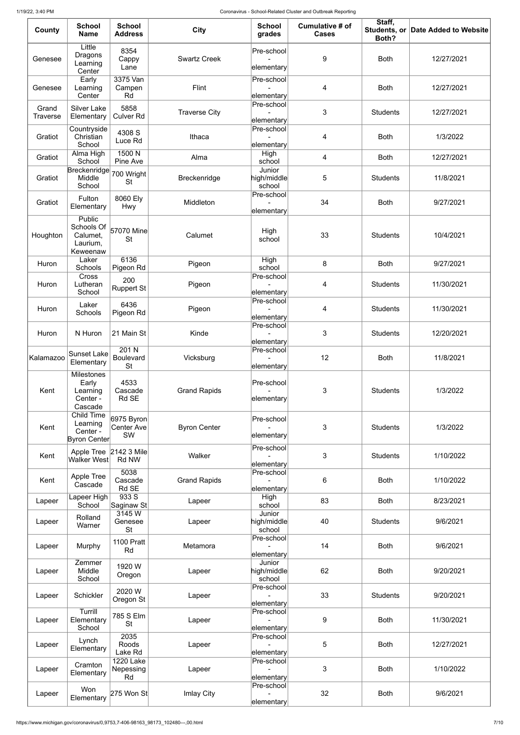| County                   | <b>School</b><br><b>Name</b>                                        | <b>School</b><br><b>Address</b>               | <b>City</b>          | <b>School</b><br>grades         | Cumulative # of<br><b>Cases</b> | Staff,<br>Both? | Students, or Date Added to Website |
|--------------------------|---------------------------------------------------------------------|-----------------------------------------------|----------------------|---------------------------------|---------------------------------|-----------------|------------------------------------|
| Genesee                  | Little<br><b>Dragons</b><br>Learning<br>Center                      | 8354<br>Cappy<br>Lane                         | <b>Swartz Creek</b>  | Pre-school<br>elementary        | $9\,$                           | <b>Both</b>     | 12/27/2021                         |
| Genesee                  | Early<br>Learning<br>Center                                         | 3375 Van<br>Campen<br>Rd                      | Flint                | Pre-school<br>elementary        | 4                               | <b>Both</b>     | 12/27/2021                         |
| Grand<br><b>Traverse</b> | <b>Silver Lake</b><br>Elementary                                    | 5858<br><b>Culver Rd</b>                      | <b>Traverse City</b> | Pre-school<br>elementary        | 3                               | <b>Students</b> | 12/27/2021                         |
| Gratiot                  | Countryside<br>Christian<br>School                                  | 4308 S<br>Luce Rd                             | Ithaca               | Pre-school<br>elementary        | 4                               | <b>Both</b>     | 1/3/2022                           |
| Gratiot                  | Alma High<br>School                                                 | 1500 N<br>Pine Ave                            | Alma                 | High<br>school                  | 4                               | <b>Both</b>     | 12/27/2021                         |
| Gratiot                  | Breckenridge<br>Middle<br>School                                    | 700 Wright<br><b>St</b>                       | Breckenridge         | Junior<br>high/middle<br>school | 5                               | <b>Students</b> | 11/8/2021                          |
| Gratiot                  | Fulton<br>Elementary                                                | 8060 Ely<br>Hwy                               | Middleton            | Pre-school<br>elementary        | 34                              | <b>Both</b>     | 9/27/2021                          |
| Houghton                 | Public<br>Schools Of 57070 Mine<br>Calumet,<br>Laurium,<br>Keweenaw | <b>St</b>                                     | Calumet              | High<br>school                  | 33                              | <b>Students</b> | 10/4/2021                          |
| Huron                    | Laker<br>Schools                                                    | 6136<br>Pigeon Rd                             | Pigeon               | High<br>school                  | 8                               | <b>Both</b>     | 9/27/2021                          |
| Huron                    | Cross<br>Lutheran<br>School                                         | 200<br><b>Ruppert St</b>                      | Pigeon               | Pre-school<br>elementary        | 4                               | <b>Students</b> | 11/30/2021                         |
| Huron                    | Laker<br>Schools                                                    | 6436<br>Pigeon Rd                             | Pigeon               | Pre-school<br>elementary        | 4                               | <b>Students</b> | 11/30/2021                         |
| Huron                    | N Huron                                                             | 21 Main St                                    | Kinde                | Pre-school<br>elementary        | 3                               | <b>Students</b> | 12/20/2021                         |
| Kalamazoo                | <b>Sunset Lake</b><br>Elementary                                    | 201 N<br>Boulevard<br><b>St</b>               | Vicksburg            | Pre-school<br>elementary        | 12                              | <b>Both</b>     | 11/8/2021                          |
| Kent                     | <b>Milestones</b><br>Early<br>Learning<br>Center -<br>Cascade       | 4533<br>Cascade<br>Rd SE                      | <b>Grand Rapids</b>  | Pre-school<br>elementary        | 3                               | <b>Students</b> | 1/3/2022                           |
| Kent                     | Child Time<br>Learning<br>Center -<br>Byron Center                  | $ 6975 B$ yron $ $<br><b>Center Ave</b><br>SW | <b>Byron Center</b>  | Pre-school<br>elementary        | 3                               | <b>Students</b> | 1/3/2022                           |
| Kent                     | Apple Tree 2142 3 Mile<br>Walker West                               | Rd NW                                         | Walker               | Pre-school<br>elementary        | 3                               | <b>Students</b> | 1/10/2022                          |
| Kent                     | Apple Tree<br>Cascade                                               | 5038<br>Cascade<br>Rd SE                      | <b>Grand Rapids</b>  | Pre-school<br>elementary        | 6                               | <b>Both</b>     | 1/10/2022                          |
| Lapeer                   | Lapeer High<br>School                                               | 933S<br>Saginaw St                            | Lapeer               | High<br>school                  | 83                              | <b>Both</b>     | 8/23/2021                          |
| Lapeer                   | Rolland<br>Warner                                                   | 3145W<br>Genesee<br><b>St</b>                 | Lapeer               | Junior<br>high/middle<br>school | 40                              | <b>Students</b> | 9/6/2021                           |
| Lapeer                   | Murphy                                                              | <b>1100 Pratt</b><br>Rd                       | Metamora             | Pre-school<br>elementary        | 14                              | <b>Both</b>     | 9/6/2021                           |
| Lapeer                   | Zemmer<br>Middle<br>School                                          | 1920 W<br>Oregon                              | Lapeer               | Junior<br>high/middle<br>school | 62                              | <b>Both</b>     | 9/20/2021                          |
| Lapeer                   | Schickler                                                           | 2020 W<br>Oregon St                           | Lapeer               | Pre-school<br>elementary        | 33                              | <b>Students</b> | 9/20/2021                          |
| Lapeer                   | Turrill<br>Elementary<br>School                                     | 785 S Elm<br><b>St</b>                        | Lapeer               | Pre-school<br>elementary        | $9\,$                           | <b>Both</b>     | 11/30/2021                         |
| Lapeer                   | Lynch<br>Elementary                                                 | 2035<br>Roods<br>Lake Rd                      | Lapeer               | Pre-school<br>elementary        | 5                               | <b>Both</b>     | 12/27/2021                         |
| Lapeer                   | Cramton<br>Elementary                                               | 1220 Lake<br>Nepessing<br>Rd                  | Lapeer               | Pre-school<br>elementary        | 3                               | <b>Both</b>     | 1/10/2022                          |
| Lapeer                   | Won<br>Elementary                                                   | $275$ Won St                                  | Imlay City           | Pre-school<br>elementary        | 32                              | <b>Both</b>     | 9/6/2021                           |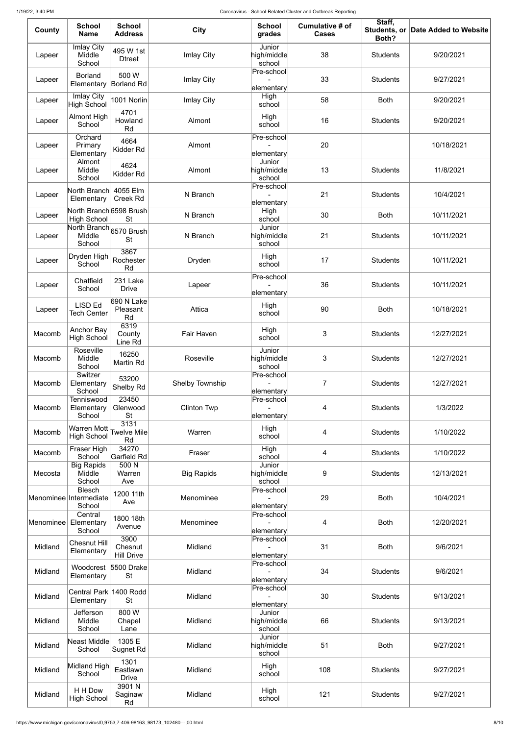| County    | <b>School</b><br><b>Name</b>                      | <b>School</b><br><b>Address</b>      | <b>City</b>            | <b>School</b><br>grades                                   | Cumulative # of<br><b>Cases</b> | Staff,<br>Students, or<br>Both? | Date Added to Website |
|-----------|---------------------------------------------------|--------------------------------------|------------------------|-----------------------------------------------------------|---------------------------------|---------------------------------|-----------------------|
| Lapeer    | <b>Imlay City</b><br>Middle<br>School             | 495 W 1st<br><b>Dtreet</b>           | <b>Imlay City</b>      | Junior<br>high/middle<br>school                           | 38                              | <b>Students</b>                 | 9/20/2021             |
| Lapeer    | <b>Borland</b><br>Elementary                      | 500 W<br>Borland Rd                  | <b>Imlay City</b>      | Pre-school<br>elementary                                  | 33                              | <b>Students</b>                 | 9/27/2021             |
| Lapeer    | Imlay City<br><b>High School</b>                  | 1001 Norlin                          | Imlay City             | High<br>school                                            | 58                              | <b>Both</b>                     | 9/20/2021             |
| Lapeer    | <b>Almont High</b><br>School                      | 4701<br>Howland<br>Rd                | Almont                 | High<br>school                                            | 16                              | <b>Students</b>                 | 9/20/2021             |
| Lapeer    | Orchard<br>Primary<br>Elementary                  | 4664<br>Kidder Rd                    | Almont                 | Pre-school<br>elementary                                  | 20                              |                                 | 10/18/2021            |
| Lapeer    | Almont<br>Middle<br>School                        | 4624<br>Kidder Rd                    | Almont                 | Junior<br>high/middle<br>school                           | 13                              | <b>Students</b>                 | 11/8/2021             |
| Lapeer    | North Branch<br>Elementary                        | 4055 Elm<br><b>Creek Rd</b>          | N Branch               | Pre-school<br>elementary                                  | 21                              | <b>Students</b>                 | 10/4/2021             |
| Lapeer    | North Branch 6598 Brush<br><b>High School</b>     | <b>St</b>                            | N Branch               | High<br>school                                            | 30                              | <b>Both</b>                     | 10/11/2021            |
| Lapeer    | North Branch 6570 Brush<br>Middle<br>School       | <b>St</b>                            | N Branch               | Junior<br>high/middle<br>school                           | 21                              | <b>Students</b>                 | 10/11/2021            |
| Lapeer    | Dryden High<br>School                             | 3867<br>Rochester<br>Rd              | Dryden                 | High<br>school                                            | 17                              | <b>Students</b>                 | 10/11/2021            |
| Lapeer    | Chatfield<br>School                               | 231 Lake<br><b>Drive</b>             | Lapeer                 | Pre-school<br>elementary                                  | 36                              | <b>Students</b>                 | 10/11/2021            |
| Lapeer    | <b>LISD Ed</b><br><b>Tech Center</b>              | 690 N Lake<br>Pleasant<br>Rd         | Attica                 | High<br>school                                            | 90                              | <b>Both</b>                     | 10/18/2021            |
| Macomb    | <b>Anchor Bay</b><br><b>High School</b>           | 6319<br>County<br>Line Rd            | Fair Haven             | High<br>school                                            | 3                               | <b>Students</b>                 | 12/27/2021            |
| Macomb    | Roseville<br>Middle<br>School<br>Switzer          | 16250<br>Martin Rd                   | Roseville              | Junior<br>high/middle<br>school<br>Pre-school             | 3                               | <b>Students</b>                 | 12/27/2021            |
| Macomb    | Elementary<br>School                              | 53200<br>Shelby Rd                   | <b>Shelby Township</b> | elementary                                                | $\overline{7}$                  | <b>Students</b>                 | 12/27/2021            |
| Macomb    | Tenniswood<br>Elementary<br>School                | 23450<br>Glenwood<br><b>St</b>       | <b>Clinton Twp</b>     | Pre-school<br>elementary                                  | 4                               | <b>Students</b>                 | 1/3/2022              |
| Macomb    | Warren Mott Twelve Mile<br><b>High School</b>     | 3131<br>Rd                           | Warren                 | High<br>school                                            | 4                               | <b>Students</b>                 | 1/10/2022             |
| Macomb    | Fraser High<br>School                             | 34270<br>Garfield Rd                 | Fraser                 | High<br>school                                            | 4                               | <b>Students</b>                 | 1/10/2022             |
| Mecosta   | <b>Big Rapids</b><br>Middle<br>School             | 500 N<br>Warren<br>Ave               | <b>Big Rapids</b>      | Junior<br>high/middle<br>school                           | 9                               | <b>Students</b>                 | 12/13/2021            |
|           | <b>Blesch</b><br>Menominee Intermediate<br>School | 1200 11th<br>Ave                     | Menominee              | Pre-school<br>elementary                                  | 29                              | <b>Both</b>                     | 10/4/2021             |
| Menominee | Central<br>Elementary<br>School                   | 1800 18th<br>Avenue                  | Menominee              | Pre-school<br>elementary                                  | 4                               | <b>Both</b>                     | 12/20/2021            |
| Midland   | <b>Chesnut Hill</b><br>Elementary                 | 3900<br>Chesnut<br><b>Hill Drive</b> | Midland                | Pre-school<br>elementary                                  | 31                              | <b>Both</b>                     | 9/6/2021              |
| Midland   | Woodcrest 5500 Drake<br>Elementary                | <b>St</b>                            | Midland                | Pre-school<br>elementary                                  | 34                              | <b>Students</b>                 | 9/6/2021              |
| Midland   | Central Park 1400 Rodd<br>Elementary              | <b>St</b>                            | Midland                | Pre-school<br>elementary                                  | 30                              | <b>Students</b>                 | 9/13/2021             |
| Midland   | Jefferson<br>Middle<br>School                     | 800 W<br>Chapel<br>Lane              | Midland                | Junior<br>high/middle<br>school                           | 66                              | <b>Students</b>                 | 9/13/2021             |
| Midland   | Neast Middle<br>School                            | 1305 E<br><b>Sugnet Rd</b>           | Midland                | Junior<br>$\left  \mathrm{high/middle} \right $<br>school | 51                              | <b>Both</b>                     | 9/27/2021             |
| Midland   | Midland High<br>School                            | 1301<br>Eastlawn<br><b>Drive</b>     | Midland                | High<br>school                                            | 108                             | <b>Students</b>                 | 9/27/2021             |
| Midland   | H H Dow<br><b>High School</b>                     | 3901N<br>Saginaw<br>Rd               | Midland                | High<br>school                                            | 121                             | <b>Students</b>                 | 9/27/2021             |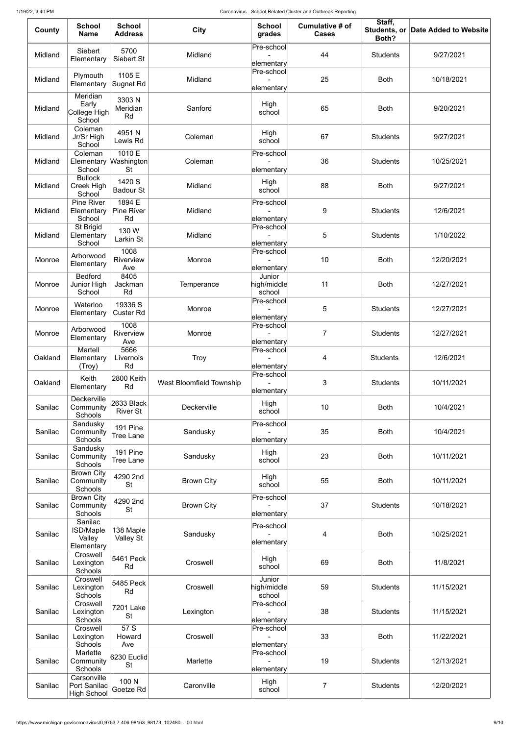| County  | <b>School</b><br><b>Name</b>                        | <b>School</b><br><b>Address</b>          | <b>City</b>              | <b>School</b><br>grades         | <b>Cumulative # of</b><br><b>Cases</b> | Staff,<br>Both? | Students, or Date Added to Website |
|---------|-----------------------------------------------------|------------------------------------------|--------------------------|---------------------------------|----------------------------------------|-----------------|------------------------------------|
| Midland | Siebert<br>Elementary                               | 5700<br>Siebert St                       | Midland                  | Pre-school<br>elementary        | 44                                     | <b>Students</b> | 9/27/2021                          |
| Midland | Plymouth<br>Elementary                              | 1105 E<br><b>Sugnet Rd</b>               | Midland                  | Pre-school<br>elementary        | 25                                     | <b>Both</b>     | 10/18/2021                         |
| Midland | Meridian<br>Early<br>College High<br>School         | 3303N<br>Meridian<br>Rd                  | Sanford                  | High<br>school                  | 65                                     | <b>Both</b>     | 9/20/2021                          |
| Midland | Coleman<br>Jr/Sr High<br>School                     | 4951N<br>Lewis Rd                        | Coleman                  | High<br>school                  | 67                                     | <b>Students</b> | 9/27/2021                          |
| Midland | Coleman<br>Elementary<br>School                     | 1010 E<br><b>Washington</b><br><b>St</b> | Coleman                  | Pre-school<br>elementary        | 36                                     | <b>Students</b> | 10/25/2021                         |
| Midland | <b>Bullock</b><br>Creek High<br>School              | 1420 S<br><b>Badour St</b>               | Midland                  | High<br>school                  | 88                                     | <b>Both</b>     | 9/27/2021                          |
| Midland | <b>Pine River</b><br>Elementary<br>School           | 1894 E<br><b>Pine River</b><br>Rd        | Midland                  | Pre-school<br>elementary        | 9                                      | <b>Students</b> | 12/6/2021                          |
| Midland | St Brigid<br>Elementary<br>School                   | 130 W<br>Larkin St                       | Midland                  | Pre-school<br>elementary        | 5                                      | <b>Students</b> | 1/10/2022                          |
| Monroe  | Arborwood<br>Elementary                             | 1008<br>Riverview<br>Ave                 | Monroe                   | Pre-school<br>elementary        | 10                                     | <b>Both</b>     | 12/20/2021                         |
| Monroe  | <b>Bedford</b><br>Junior High<br>School             | 8405<br>Jackman<br>Rd                    | Temperance               | Junior<br>high/middle<br>school | 11                                     | <b>Both</b>     | 12/27/2021                         |
| Monroe  | Waterloo<br>Elementary                              | 19336 S<br><b>Custer Rd</b>              | Monroe                   | Pre-school<br>elementary        | 5                                      | <b>Students</b> | 12/27/2021                         |
| Monroe  | Arborwood<br>Elementary                             | 1008<br>Riverview<br>Ave                 | Monroe                   | Pre-school<br>elementary        | $\overline{7}$                         | <b>Students</b> | 12/27/2021                         |
| Oakland | Martell<br>Elementary<br>(Troy)                     | 5666<br>Livernois<br>Rd                  | <b>Troy</b>              | Pre-school<br>elementary        | 4                                      | <b>Students</b> | 12/6/2021                          |
| Oakland | Keith<br>Elementary                                 | 2800 Keith<br>Rd                         | West Bloomfield Township | Pre-school<br>elementary        | 3                                      | <b>Students</b> | 10/11/2021                         |
| Sanilac | <b>Deckerville</b><br>Community<br>Schools          | 2633 Black<br><b>River St</b>            | Deckerville              | High<br>school                  | 10                                     | <b>Both</b>     | 10/4/2021                          |
| Sanilac | Sandusky<br>Community<br>Schools                    | 191 Pine<br><b>Tree Lane</b>             | Sandusky                 | Pre-school<br>elementary        | 35                                     | <b>Both</b>     | 10/4/2021                          |
| Sanilac | Sandusky<br>Community<br>Schools                    | 191 Pine<br><b>Tree Lane</b>             | Sandusky                 | High<br>school                  | 23                                     | <b>Both</b>     | 10/11/2021                         |
| Sanilac | <b>Brown City</b><br>Community<br>Schools           | 4290 2nd<br><b>St</b>                    | <b>Brown City</b>        | High<br>school                  | 55                                     | <b>Both</b>     | 10/11/2021                         |
| Sanilac | <b>Brown City</b><br>Community<br>Schools           | 4290 2nd<br><b>St</b>                    | <b>Brown City</b>        | Pre-school<br>elementary        | 37                                     | <b>Students</b> | 10/18/2021                         |
| Sanilac | Sanilac<br><b>ISD/Maple</b><br>Valley<br>Elementary | 138 Maple<br>Valley St                   | Sandusky                 | Pre-school<br>elementary        | 4                                      | <b>Both</b>     | 10/25/2021                         |
| Sanilac | Croswell<br>Lexington<br>Schools                    | 5461 Peck<br>Rd                          | Croswell                 | High<br>school                  | 69                                     | <b>Both</b>     | 11/8/2021                          |
| Sanilac | Croswell<br>Lexington<br>Schools                    | 5485 Peck<br>Rd                          | Croswell                 | Junior<br>high/middle<br>school | 59                                     | <b>Students</b> | 11/15/2021                         |
| Sanilac | Croswell<br>Lexington<br>Schools                    | 7201 Lake<br><b>St</b>                   | Lexington                | Pre-school<br>elementary        | 38                                     | <b>Students</b> | 11/15/2021                         |
| Sanilac | Croswell<br>Lexington<br>Schools                    | 57S<br>Howard<br>Ave                     | Croswell                 | Pre-school<br>elementary        | 33                                     | <b>Both</b>     | 11/22/2021                         |
| Sanilac | Marlette<br>Community<br>Schools                    | 6230 Euclid<br><b>St</b>                 | Marlette                 | Pre-school<br>elementary        | 19                                     | <b>Students</b> | 12/13/2021                         |
| Sanilac | Carsonville<br>Port Sanilac<br><b>High School</b>   | 100 N<br>Goetze Rd                       | Caronville               | High<br>school                  | 7                                      | <b>Students</b> | 12/20/2021                         |